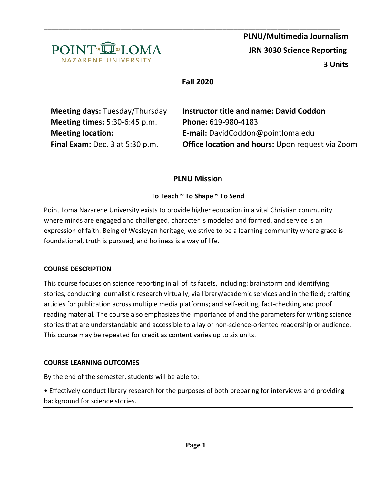

# **Fall 2020**

| <b>Meeting days: Tuesday/Thursday</b> | <b>Instructor title and name: David Coddon</b>          |  |
|---------------------------------------|---------------------------------------------------------|--|
| <b>Meeting times: 5:30-6:45 p.m.</b>  | Phone: 619-980-4183                                     |  |
| <b>Meeting location:</b>              | E-mail: DavidCoddon@pointloma.edu                       |  |
| Final Exam: Dec. 3 at 5:30 p.m.       | <b>Office location and hours: Upon request via Zoom</b> |  |
|                                       |                                                         |  |

# **PLNU Mission**

## **To Teach ~ To Shape ~ To Send**

Point Loma Nazarene University exists to provide higher education in a vital Christian community where minds are engaged and challenged, character is modeled and formed, and service is an expression of faith. Being of Wesleyan heritage, we strive to be a learning community where grace is foundational, truth is pursued, and holiness is a way of life.

### **COURSE DESCRIPTION**

This course focuses on science reporting in all of its facets, including: brainstorm and identifying stories, conducting journalistic research virtually, via library/academic services and in the field; crafting articles for publication across multiple media platforms; and self-editing, fact-checking and proof reading material. The course also emphasizes the importance of and the parameters for writing science stories that are understandable and accessible to a lay or non-science-oriented readership or audience. This course may be repeated for credit as content varies up to six units.

### **COURSE LEARNING OUTCOMES**

By the end of the semester, students will be able to:

• Effectively conduct library research for the purposes of both preparing for interviews and providing background for science stories.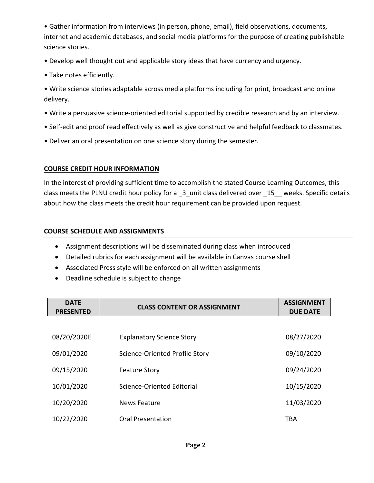• Gather information from interviews (in person, phone, email), field observations, documents, internet and academic databases, and social media platforms for the purpose of creating publishable science stories.

- Develop well thought out and applicable story ideas that have currency and urgency.
- Take notes efficiently.
- Write science stories adaptable across media platforms including for print, broadcast and online delivery.
- Write a persuasive science-oriented editorial supported by credible research and by an interview.
- Self-edit and proof read effectively as well as give constructive and helpful feedback to classmates.
- Deliver an oral presentation on one science story during the semester.

### **COURSE CREDIT HOUR INFORMATION**

In the interest of providing sufficient time to accomplish the stated Course Learning Outcomes, this class meets the PLNU credit hour policy for a  $-3$  unit class delivered over  $-15$  weeks. Specific details about how the class meets the credit hour requirement can be provided upon request.

### **COURSE SCHEDULE AND ASSIGNMENTS**

- Assignment descriptions will be disseminated during class when introduced
- Detailed rubrics for each assignment will be available in Canvas course shell
- Associated Press style will be enforced on all written assignments
- Deadline schedule is subject to change

| <b>DATE</b><br><b>PRESENTED</b> | <b>CLASS CONTENT OR ASSIGNMENT</b> | <b>ASSIGNMENT</b><br><b>DUE DATE</b> |
|---------------------------------|------------------------------------|--------------------------------------|
|                                 |                                    |                                      |
| 08/20/2020E                     | <b>Explanatory Science Story</b>   | 08/27/2020                           |
| 09/01/2020                      | Science-Oriented Profile Story     | 09/10/2020                           |
| 09/15/2020                      | <b>Feature Story</b>               | 09/24/2020                           |
| 10/01/2020                      | Science-Oriented Editorial         | 10/15/2020                           |
| 10/20/2020                      | News Feature                       | 11/03/2020                           |
| 10/22/2020                      | Oral Presentation                  | TBA                                  |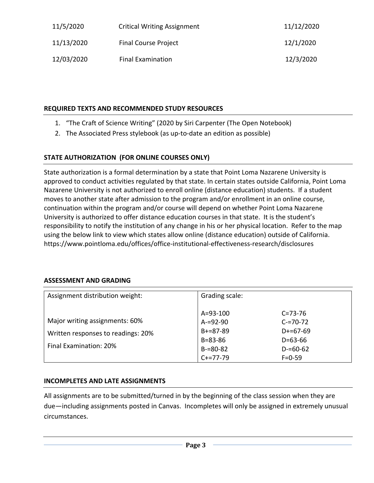| 11/5/2020  | <b>Critical Writing Assignment</b> | 11/12/2020 |
|------------|------------------------------------|------------|
| 11/13/2020 | <b>Final Course Project</b>        | 12/1/2020  |
| 12/03/2020 | <b>Final Examination</b>           | 12/3/2020  |

## **REQUIRED TEXTS AND RECOMMENDED STUDY RESOURCES**

- 1. "The Craft of Science Writing" (2020 by Siri Carpenter (The Open Notebook)
- 2. The Associated Press stylebook (as up-to-date an edition as possible)

# **STATE AUTHORIZATION (FOR ONLINE COURSES ONLY)**

State authorization is a formal determination by a state that Point Loma Nazarene University is approved to conduct activities regulated by that state. In certain states outside California, Point Loma Nazarene University is not authorized to enroll online (distance education) students. If a student moves to another state after admission to the program and/or enrollment in an online course, continuation within the program and/or course will depend on whether Point Loma Nazarene University is authorized to offer distance education courses in that state. It is the student's responsibility to notify the institution of any change in his or her physical location. Refer to the map using the below link to view which states allow online (distance education) outside of California. <https://www.pointloma.edu/offices/office-institutional-effectiveness-research/disclosures>

## **ASSESSMENT AND GRADING**

| Assignment distribution weight:                                                                | Grading scale:                                                                                     |                                                                                              |
|------------------------------------------------------------------------------------------------|----------------------------------------------------------------------------------------------------|----------------------------------------------------------------------------------------------|
| Major writing assignments: 60%<br>Written responses to readings: 20%<br>Final Examination: 20% | $A = 93 - 100$<br>$A = 92 - 90$<br>$B+=87-89$<br>$B = 83 - 86$<br>$B = 80 - 82$<br>$C + = 77 - 79$ | $C = 73 - 76$<br>$C = 70 - 72$<br>$D+=67-69$<br>$D = 63 - 66$<br>$D = 60 - 62$<br>$F = 0.59$ |

### **INCOMPLETES AND LATE ASSIGNMENTS**

All assignments are to be submitted/turned in by the beginning of the class session when they are due—including assignments posted in Canvas. Incompletes will only be assigned in extremely unusual circumstances.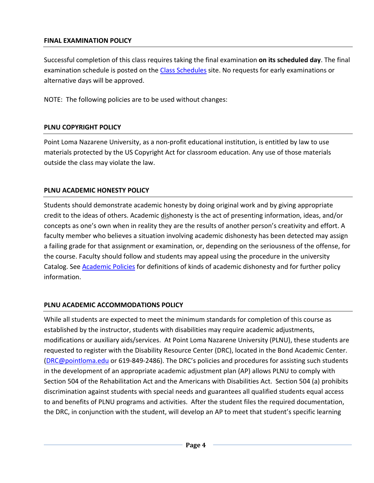## **FINAL EXAMINATION POLICY**

Successful completion of this class requires taking the final examination **on its scheduled day**. The final examination schedule is posted on the [Class Schedules](http://www.pointloma.edu/experience/academics/class-schedules) site. No requests for early examinations or alternative days will be approved.

NOTE: The following policies are to be used without changes:

## **PLNU COPYRIGHT POLICY**

Point Loma Nazarene University, as a non-profit educational institution, is entitled by law to use materials protected by the US Copyright Act for classroom education. Any use of those materials outside the class may violate the law.

## **PLNU ACADEMIC HONESTY POLICY**

Students should demonstrate academic honesty by doing original work and by giving appropriate credit to the ideas of others. Academic dishonesty is the act of presenting information, ideas, and/or concepts as one's own when in reality they are the results of another person's creativity and effort. A faculty member who believes a situation involving academic dishonesty has been detected may assign a failing grade for that assignment or examination, or, depending on the seriousness of the offense, for the course. Faculty should follow and students may appeal using the procedure in the university Catalog. See [Academic Policies](http://catalog.pointloma.edu/content.php?catoid=18&navoid=1278) for definitions of kinds of academic dishonesty and for further policy information.

## **PLNU ACADEMIC ACCOMMODATIONS POLICY**

While all students are expected to meet the minimum standards for completion of this course as established by the instructor, students with disabilities may require academic adjustments, modifications or auxiliary aids/services. At Point Loma Nazarene University (PLNU), these students are requested to register with the Disability Resource Center (DRC), located in the Bond Academic Center. [\(DRC@pointloma.edu](mailto:DRC@pointloma.edu) or 619-849-2486). The DRC's policies and procedures for assisting such students in the development of an appropriate academic adjustment plan (AP) allows PLNU to comply with Section 504 of the Rehabilitation Act and the Americans with Disabilities Act. Section 504 (a) prohibits discrimination against students with special needs and guarantees all qualified students equal access to and benefits of PLNU programs and activities. After the student files the required documentation, the DRC, in conjunction with the student, will develop an AP to meet that student's specific learning